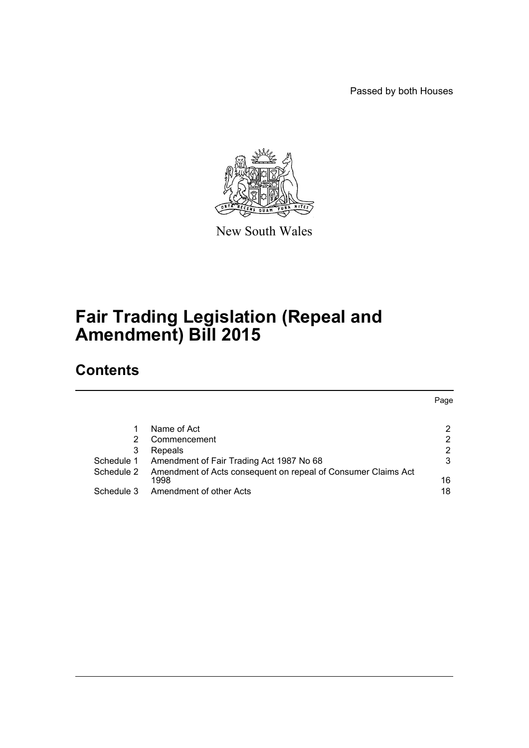Passed by both Houses

Page



New South Wales

# **Fair Trading Legislation (Repeal and Amendment) Bill 2015**

# **Contents**

|            |                                                               | Page |
|------------|---------------------------------------------------------------|------|
|            |                                                               |      |
|            | Name of Act                                                   |      |
|            | Commencement                                                  | 2    |
| 3          | Repeals                                                       | 2    |
| Schedule 1 | Amendment of Fair Trading Act 1987 No 68                      | 3    |
| Schedule 2 | Amendment of Acts consequent on repeal of Consumer Claims Act |      |
|            | 1998                                                          | 16   |
| Schedule 3 | Amendment of other Acts                                       | 18   |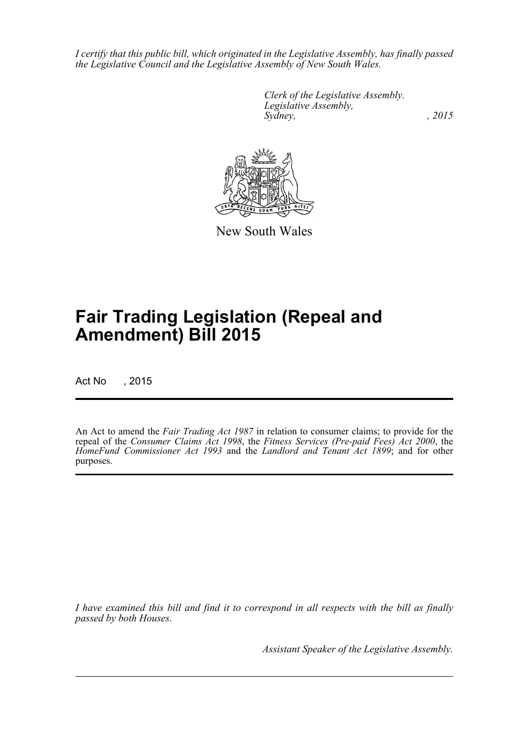*I certify that this public bill, which originated in the Legislative Assembly, has finally passed the Legislative Council and the Legislative Assembly of New South Wales.*

> *Clerk of the Legislative Assembly. Legislative Assembly, Sydney,* , 2015



New South Wales

# **Fair Trading Legislation (Repeal and Amendment) Bill 2015**

Act No , 2015

An Act to amend the *Fair Trading Act 1987* in relation to consumer claims; to provide for the repeal of the *Consumer Claims Act 1998*, the *Fitness Services (Pre-paid Fees) Act 2000*, the *HomeFund Commissioner Act 1993* and the *Landlord and Tenant Act 1899*; and for other purposes.

*I have examined this bill and find it to correspond in all respects with the bill as finally passed by both Houses.*

*Assistant Speaker of the Legislative Assembly.*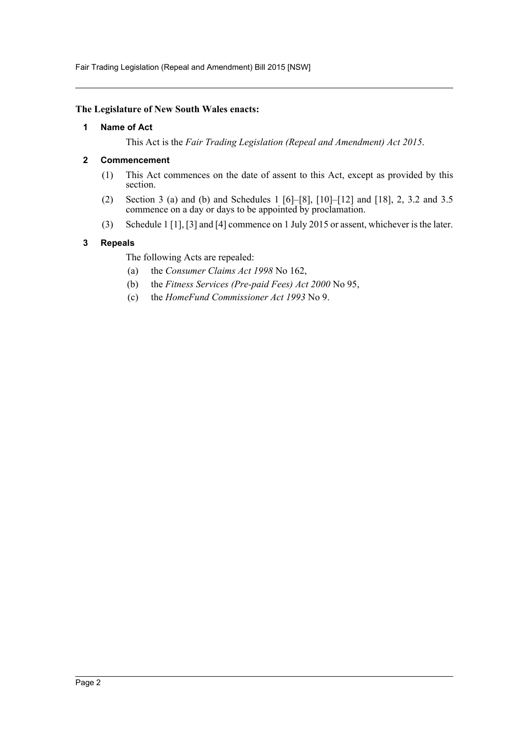Fair Trading Legislation (Repeal and Amendment) Bill 2015 [NSW]

#### <span id="page-2-0"></span>**The Legislature of New South Wales enacts:**

#### **1 Name of Act**

This Act is the *Fair Trading Legislation (Repeal and Amendment) Act 2015*.

## <span id="page-2-1"></span>**2 Commencement**

- (1) This Act commences on the date of assent to this Act, except as provided by this section.
- (2) Section 3 (a) and (b) and Schedules 1 [6]–[8], [10]–[12] and [18], 2, 3.2 and 3.5 commence on a day or days to be appointed by proclamation.
- (3) Schedule 1 [1], [3] and [4] commence on 1 July 2015 or assent, whichever is the later.

## <span id="page-2-2"></span>**3 Repeals**

The following Acts are repealed:

- (a) the *Consumer Claims Act 1998* No 162,
- (b) the *Fitness Services (Pre-paid Fees) Act 2000* No 95,
- (c) the *HomeFund Commissioner Act 1993* No 9.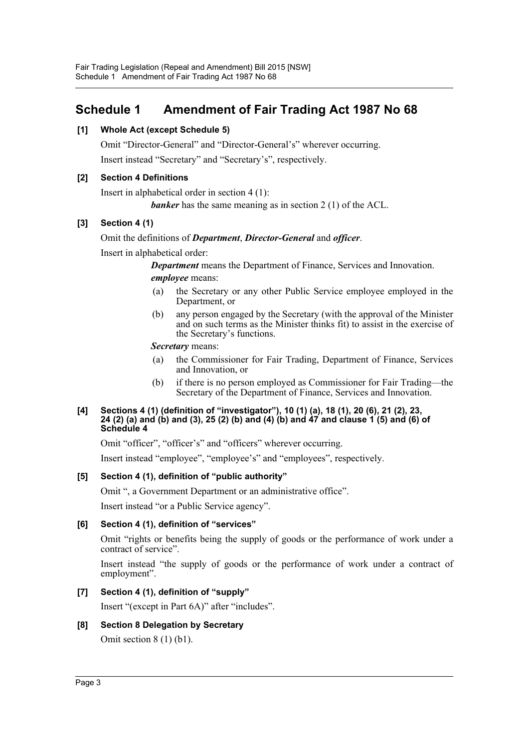# <span id="page-3-0"></span>**Schedule 1 Amendment of Fair Trading Act 1987 No 68**

# **[1] Whole Act (except Schedule 5)**

Omit "Director-General" and "Director-General's" wherever occurring. Insert instead "Secretary" and "Secretary's", respectively.

# **[2] Section 4 Definitions**

Insert in alphabetical order in section 4 (1):

*banker* has the same meaning as in section 2 (1) of the ACL.

# **[3] Section 4 (1)**

## Omit the definitions of *Department*, *Director-General* and *officer*.

Insert in alphabetical order:

*Department* means the Department of Finance, Services and Innovation. *employee* means:

- (a) the Secretary or any other Public Service employee employed in the Department, or
- (b) any person engaged by the Secretary (with the approval of the Minister and on such terms as the Minister thinks fit) to assist in the exercise of the Secretary's functions.

*Secretary* means:

- (a) the Commissioner for Fair Trading, Department of Finance, Services and Innovation, or
- (b) if there is no person employed as Commissioner for Fair Trading—the Secretary of the Department of Finance, Services and Innovation.

#### **[4] Sections 4 (1) (definition of "investigator"), 10 (1) (a), 18 (1), 20 (6), 21 (2), 23, 24 (2) (a) and (b) and (3), 25 (2) (b) and (4) (b) and 47 and clause 1 (5) and (6) of Schedule 4**

Omit "officer", "officer's" and "officers" wherever occurring.

Insert instead "employee", "employee's" and "employees", respectively.

## **[5] Section 4 (1), definition of "public authority"**

Omit ", a Government Department or an administrative office".

Insert instead "or a Public Service agency".

## **[6] Section 4 (1), definition of "services"**

Omit "rights or benefits being the supply of goods or the performance of work under a contract of service".

Insert instead "the supply of goods or the performance of work under a contract of employment".

## **[7] Section 4 (1), definition of "supply"**

Insert "(except in Part 6A)" after "includes".

## **[8] Section 8 Delegation by Secretary**

Omit section 8 (1) (b1).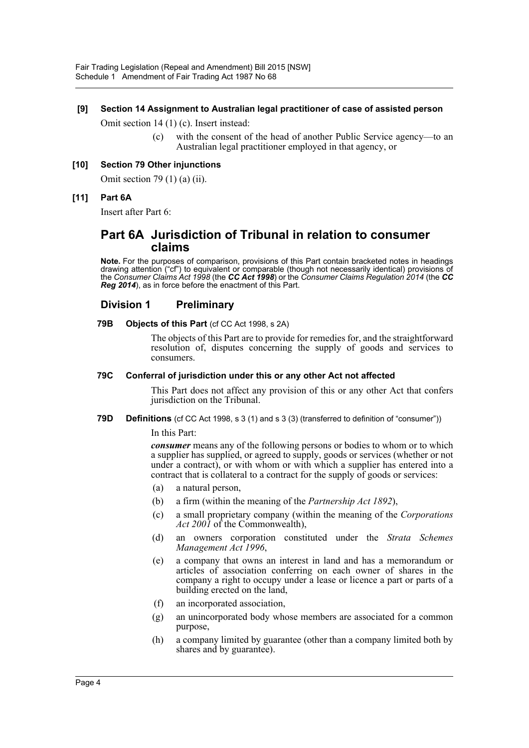#### **[9] Section 14 Assignment to Australian legal practitioner of case of assisted person**

Omit section 14 (1) (c). Insert instead:

(c) with the consent of the head of another Public Service agency—to an Australian legal practitioner employed in that agency, or

#### **[10] Section 79 Other injunctions**

Omit section 79 (1) (a) (ii).

#### **[11] Part 6A**

Insert after Part 6:

# **Part 6A Jurisdiction of Tribunal in relation to consumer claims**

**Note.** For the purposes of comparison, provisions of this Part contain bracketed notes in headings drawing attention ("cf") to equivalent or comparable (though not necessarily identical) provisions of the *Consumer Claims Act 1998* (the *CC Act 1998*) or the *Consumer Claims Regulation 2014* (the *CC Reg 2014*), as in force before the enactment of this Part.

## **Division 1 Preliminary**

#### **79B Objects of this Part** (cf CC Act 1998, s 2A)

The objects of this Part are to provide for remedies for, and the straightforward resolution of, disputes concerning the supply of goods and services to consumers.

#### **79C Conferral of jurisdiction under this or any other Act not affected**

This Part does not affect any provision of this or any other Act that confers jurisdiction on the Tribunal.

**79D Definitions** (cf CC Act 1998, s 3 (1) and s 3 (3) (transferred to definition of "consumer"))

#### In this Part:

*consumer* means any of the following persons or bodies to whom or to which a supplier has supplied, or agreed to supply, goods or services (whether or not under a contract), or with whom or with which a supplier has entered into a contract that is collateral to a contract for the supply of goods or services:

- (a) a natural person,
- (b) a firm (within the meaning of the *Partnership Act 1892*),
- (c) a small proprietary company (within the meaning of the *Corporations Act 2001* of the Commonwealth),
- (d) an owners corporation constituted under the *Strata Schemes Management Act 1996*,
- (e) a company that owns an interest in land and has a memorandum or articles of association conferring on each owner of shares in the company a right to occupy under a lease or licence a part or parts of a building erected on the land,
- (f) an incorporated association,
- (g) an unincorporated body whose members are associated for a common purpose,
- (h) a company limited by guarantee (other than a company limited both by shares and by guarantee).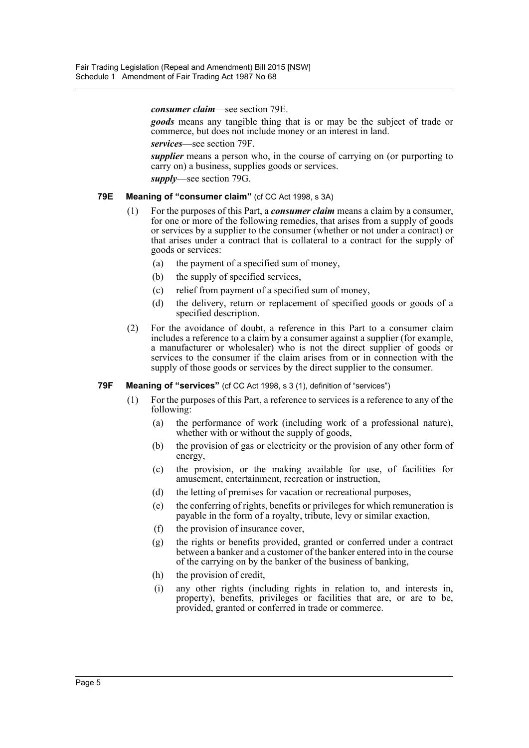*consumer claim*—see section 79E.

*goods* means any tangible thing that is or may be the subject of trade or commerce, but does not include money or an interest in land.

*services*—see section 79F.

*supplier* means a person who, in the course of carrying on (or purporting to carry on) a business, supplies goods or services.

*supply*—see section 79G.

#### **79E Meaning of "consumer claim"** (cf CC Act 1998, s 3A)

- (1) For the purposes of this Part, a *consumer claim* means a claim by a consumer, for one or more of the following remedies, that arises from a supply of goods or services by a supplier to the consumer (whether or not under a contract) or that arises under a contract that is collateral to a contract for the supply of goods or services:
	- (a) the payment of a specified sum of money,
	- (b) the supply of specified services,
	- (c) relief from payment of a specified sum of money,
	- (d) the delivery, return or replacement of specified goods or goods of a specified description.
- (2) For the avoidance of doubt, a reference in this Part to a consumer claim includes a reference to a claim by a consumer against a supplier (for example, a manufacturer or wholesaler) who is not the direct supplier of goods or services to the consumer if the claim arises from or in connection with the supply of those goods or services by the direct supplier to the consumer.

#### **79F Meaning of "services"** (cf CC Act 1998, s 3 (1), definition of "services")

- (1) For the purposes of this Part, a reference to services is a reference to any of the following:
	- (a) the performance of work (including work of a professional nature), whether with or without the supply of goods,
	- (b) the provision of gas or electricity or the provision of any other form of energy,
	- (c) the provision, or the making available for use, of facilities for amusement, entertainment, recreation or instruction,
	- (d) the letting of premises for vacation or recreational purposes,
	- (e) the conferring of rights, benefits or privileges for which remuneration is payable in the form of a royalty, tribute, levy or similar exaction,
	- (f) the provision of insurance cover,
	- (g) the rights or benefits provided, granted or conferred under a contract between a banker and a customer of the banker entered into in the course of the carrying on by the banker of the business of banking,
	- (h) the provision of credit,
	- (i) any other rights (including rights in relation to, and interests in, property), benefits, privileges or facilities that are, or are to be, provided, granted or conferred in trade or commerce.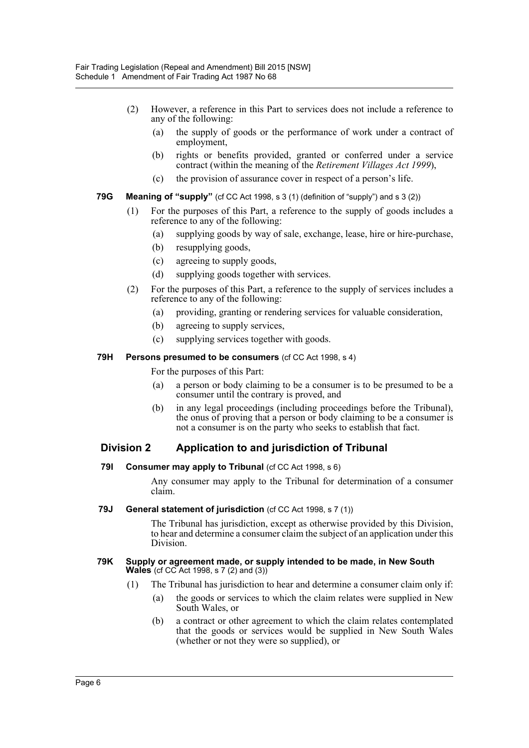- (2) However, a reference in this Part to services does not include a reference to any of the following:
	- (a) the supply of goods or the performance of work under a contract of employment,
	- (b) rights or benefits provided, granted or conferred under a service contract (within the meaning of the *Retirement Villages Act 1999*),
	- (c) the provision of assurance cover in respect of a person's life.
- **79G Meaning of "supply"** (cf CC Act 1998, s 3 (1) (definition of "supply") and s 3 (2))
	- (1) For the purposes of this Part, a reference to the supply of goods includes a reference to any of the following:
		- (a) supplying goods by way of sale, exchange, lease, hire or hire-purchase,
		- (b) resupplying goods,
		- (c) agreeing to supply goods,
		- (d) supplying goods together with services.
	- (2) For the purposes of this Part, a reference to the supply of services includes a reference to any of the following:
		- (a) providing, granting or rendering services for valuable consideration,
		- (b) agreeing to supply services,
		- (c) supplying services together with goods.
- **79H Persons presumed to be consumers** (cf CC Act 1998, s 4)

For the purposes of this Part:

- (a) a person or body claiming to be a consumer is to be presumed to be a consumer until the contrary is proved, and
- (b) in any legal proceedings (including proceedings before the Tribunal), the onus of proving that a person or body claiming to be a consumer is not a consumer is on the party who seeks to establish that fact.

# **Division 2 Application to and jurisdiction of Tribunal**

**79I Consumer may apply to Tribunal** (cf CC Act 1998, s 6)

Any consumer may apply to the Tribunal for determination of a consumer claim.

**79J General statement of jurisdiction** (cf CC Act 1998, s 7 (1))

The Tribunal has jurisdiction, except as otherwise provided by this Division, to hear and determine a consumer claim the subject of an application under this Division.

#### **79K Supply or agreement made, or supply intended to be made, in New South Wales** (cf CC Act 1998, s 7 (2) and (3))

- (1) The Tribunal has jurisdiction to hear and determine a consumer claim only if:
	- (a) the goods or services to which the claim relates were supplied in New South Wales, or
	- (b) a contract or other agreement to which the claim relates contemplated that the goods or services would be supplied in New South Wales (whether or not they were so supplied), or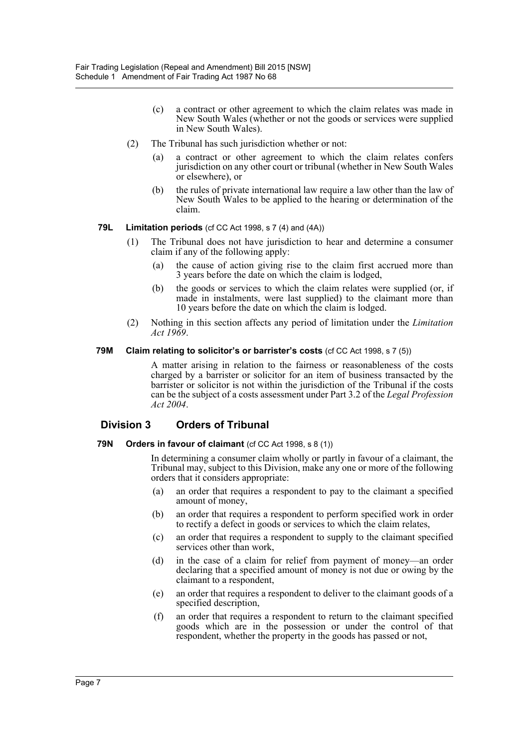- (c) a contract or other agreement to which the claim relates was made in New South Wales (whether or not the goods or services were supplied in New South Wales).
- (2) The Tribunal has such jurisdiction whether or not:
	- (a) a contract or other agreement to which the claim relates confers jurisdiction on any other court or tribunal (whether in New South Wales or elsewhere), or
	- (b) the rules of private international law require a law other than the law of New South Wales to be applied to the hearing or determination of the claim.

## **79L Limitation periods** (cf CC Act 1998, s 7 (4) and (4A))

- (1) The Tribunal does not have jurisdiction to hear and determine a consumer claim if any of the following apply:
	- (a) the cause of action giving rise to the claim first accrued more than 3 years before the date on which the claim is lodged,
	- (b) the goods or services to which the claim relates were supplied (or, if made in instalments, were last supplied) to the claimant more than 10 years before the date on which the claim is lodged.
- (2) Nothing in this section affects any period of limitation under the *Limitation Act 1969*.

#### **79M Claim relating to solicitor's or barrister's costs** (cf CC Act 1998, s 7 (5))

A matter arising in relation to the fairness or reasonableness of the costs charged by a barrister or solicitor for an item of business transacted by the barrister or solicitor is not within the jurisdiction of the Tribunal if the costs can be the subject of a costs assessment under Part 3.2 of the *Legal Profession Act 2004*.

# **Division 3 Orders of Tribunal**

#### **79N Orders in favour of claimant** (cf CC Act 1998, s 8 (1))

In determining a consumer claim wholly or partly in favour of a claimant, the Tribunal may, subject to this Division, make any one or more of the following orders that it considers appropriate:

- (a) an order that requires a respondent to pay to the claimant a specified amount of money,
- (b) an order that requires a respondent to perform specified work in order to rectify a defect in goods or services to which the claim relates,
- (c) an order that requires a respondent to supply to the claimant specified services other than work,
- (d) in the case of a claim for relief from payment of money—an order declaring that a specified amount of money is not due or owing by the claimant to a respondent,
- (e) an order that requires a respondent to deliver to the claimant goods of a specified description,
- (f) an order that requires a respondent to return to the claimant specified goods which are in the possession or under the control of that respondent, whether the property in the goods has passed or not,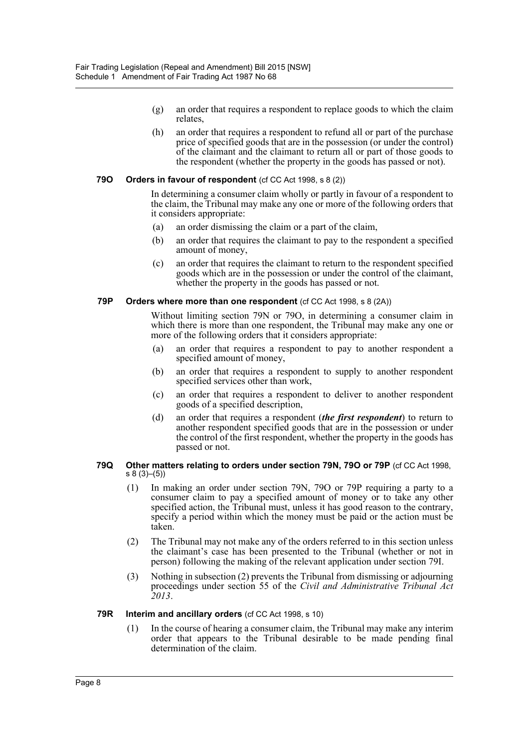- (g) an order that requires a respondent to replace goods to which the claim relates,
- (h) an order that requires a respondent to refund all or part of the purchase price of specified goods that are in the possession (or under the control) of the claimant and the claimant to return all or part of those goods to the respondent (whether the property in the goods has passed or not).

#### **79O Orders in favour of respondent** (cf CC Act 1998, s 8 (2))

In determining a consumer claim wholly or partly in favour of a respondent to the claim, the Tribunal may make any one or more of the following orders that it considers appropriate:

- (a) an order dismissing the claim or a part of the claim,
- (b) an order that requires the claimant to pay to the respondent a specified amount of money,
- (c) an order that requires the claimant to return to the respondent specified goods which are in the possession or under the control of the claimant, whether the property in the goods has passed or not.

#### **79P Orders where more than one respondent** (cf CC Act 1998, s 8 (2A))

Without limiting section 79N or 79O, in determining a consumer claim in which there is more than one respondent, the Tribunal may make any one or more of the following orders that it considers appropriate:

- (a) an order that requires a respondent to pay to another respondent a specified amount of money,
- (b) an order that requires a respondent to supply to another respondent specified services other than work,
- (c) an order that requires a respondent to deliver to another respondent goods of a specified description,
- (d) an order that requires a respondent (*the first respondent*) to return to another respondent specified goods that are in the possession or under the control of the first respondent, whether the property in the goods has passed or not.

#### **79Q Other matters relating to orders under section 79N, 79O or 79P** (cf CC Act 1998, s 8 (3)–(5))

- (1) In making an order under section 79N, 79O or 79P requiring a party to a consumer claim to pay a specified amount of money or to take any other specified action, the Tribunal must, unless it has good reason to the contrary, specify a period within which the money must be paid or the action must be taken.
- (2) The Tribunal may not make any of the orders referred to in this section unless the claimant's case has been presented to the Tribunal (whether or not in person) following the making of the relevant application under section 79I.
- (3) Nothing in subsection (2) prevents the Tribunal from dismissing or adjourning proceedings under section 55 of the *Civil and Administrative Tribunal Act 2013*.

#### **79R Interim and ancillary orders** (cf CC Act 1998, s 10)

(1) In the course of hearing a consumer claim, the Tribunal may make any interim order that appears to the Tribunal desirable to be made pending final determination of the claim.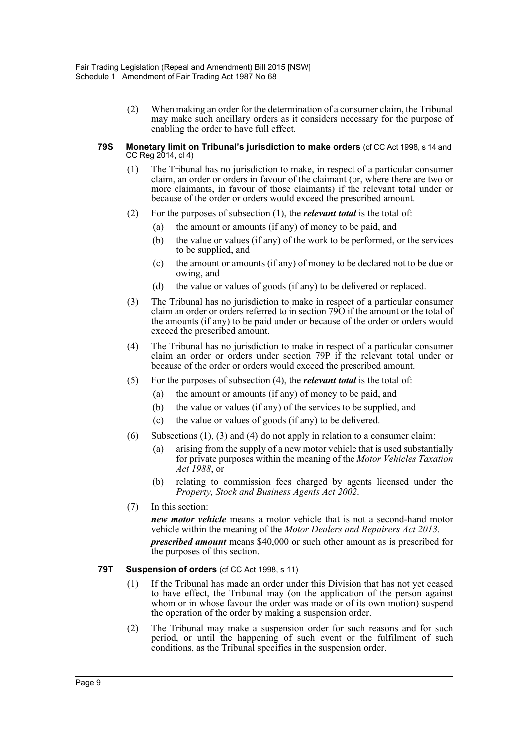(2) When making an order for the determination of a consumer claim, the Tribunal may make such ancillary orders as it considers necessary for the purpose of enabling the order to have full effect.

#### **79S Monetary limit on Tribunal's jurisdiction to make orders** (cf CC Act 1998, s 14 and CC Reg 2014, cl 4)

- (1) The Tribunal has no jurisdiction to make, in respect of a particular consumer claim, an order or orders in favour of the claimant (or, where there are two or more claimants, in favour of those claimants) if the relevant total under or because of the order or orders would exceed the prescribed amount.
- (2) For the purposes of subsection (1), the *relevant total* is the total of:
	- (a) the amount or amounts (if any) of money to be paid, and
	- (b) the value or values (if any) of the work to be performed, or the services to be supplied, and
	- (c) the amount or amounts (if any) of money to be declared not to be due or owing, and
	- (d) the value or values of goods (if any) to be delivered or replaced.
- (3) The Tribunal has no jurisdiction to make in respect of a particular consumer claim an order or orders referred to in section 79O if the amount or the total of the amounts (if any) to be paid under or because of the order or orders would exceed the prescribed amount.
- (4) The Tribunal has no jurisdiction to make in respect of a particular consumer claim an order or orders under section 79P if the relevant total under or because of the order or orders would exceed the prescribed amount.
- (5) For the purposes of subsection (4), the *relevant total* is the total of:
	- (a) the amount or amounts (if any) of money to be paid, and
	- (b) the value or values (if any) of the services to be supplied, and
	- (c) the value or values of goods (if any) to be delivered.
- (6) Subsections (1), (3) and (4) do not apply in relation to a consumer claim:
	- (a) arising from the supply of a new motor vehicle that is used substantially for private purposes within the meaning of the *Motor Vehicles Taxation Act 1988*, or
	- (b) relating to commission fees charged by agents licensed under the *Property, Stock and Business Agents Act 2002*.
- (7) In this section:

*new motor vehicle* means a motor vehicle that is not a second-hand motor vehicle within the meaning of the *Motor Dealers and Repairers Act 2013*.

*prescribed amount* means \$40,000 or such other amount as is prescribed for the purposes of this section.

#### **79T Suspension of orders** (cf CC Act 1998, s 11)

- (1) If the Tribunal has made an order under this Division that has not yet ceased to have effect, the Tribunal may (on the application of the person against whom or in whose favour the order was made or of its own motion) suspend the operation of the order by making a suspension order.
- (2) The Tribunal may make a suspension order for such reasons and for such period, or until the happening of such event or the fulfilment of such conditions, as the Tribunal specifies in the suspension order.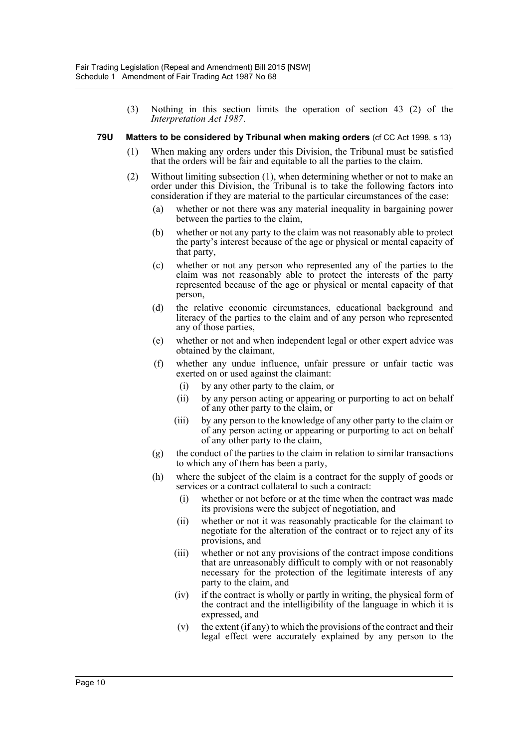(3) Nothing in this section limits the operation of section 43 (2) of the *Interpretation Act 1987*.

#### **79U Matters to be considered by Tribunal when making orders** (cf CC Act 1998, s 13)

- (1) When making any orders under this Division, the Tribunal must be satisfied that the orders will be fair and equitable to all the parties to the claim.
- (2) Without limiting subsection (1), when determining whether or not to make an order under this Division, the Tribunal is to take the following factors into consideration if they are material to the particular circumstances of the case:
	- (a) whether or not there was any material inequality in bargaining power between the parties to the claim,
	- (b) whether or not any party to the claim was not reasonably able to protect the party's interest because of the age or physical or mental capacity of that party,
	- (c) whether or not any person who represented any of the parties to the claim was not reasonably able to protect the interests of the party represented because of the age or physical or mental capacity of that person,
	- (d) the relative economic circumstances, educational background and literacy of the parties to the claim and of any person who represented any of those parties,
	- (e) whether or not and when independent legal or other expert advice was obtained by the claimant,
	- (f) whether any undue influence, unfair pressure or unfair tactic was exerted on or used against the claimant:
		- (i) by any other party to the claim, or
		- (ii) by any person acting or appearing or purporting to act on behalf of any other party to the claim, or
		- (iii) by any person to the knowledge of any other party to the claim or of any person acting or appearing or purporting to act on behalf of any other party to the claim,
	- (g) the conduct of the parties to the claim in relation to similar transactions to which any of them has been a party,
	- (h) where the subject of the claim is a contract for the supply of goods or services or a contract collateral to such a contract:
		- (i) whether or not before or at the time when the contract was made its provisions were the subject of negotiation, and
		- (ii) whether or not it was reasonably practicable for the claimant to negotiate for the alteration of the contract or to reject any of its provisions, and
		- (iii) whether or not any provisions of the contract impose conditions that are unreasonably difficult to comply with or not reasonably necessary for the protection of the legitimate interests of any party to the claim, and
		- (iv) if the contract is wholly or partly in writing, the physical form of the contract and the intelligibility of the language in which it is expressed, and
		- $(v)$  the extent (if any) to which the provisions of the contract and their legal effect were accurately explained by any person to the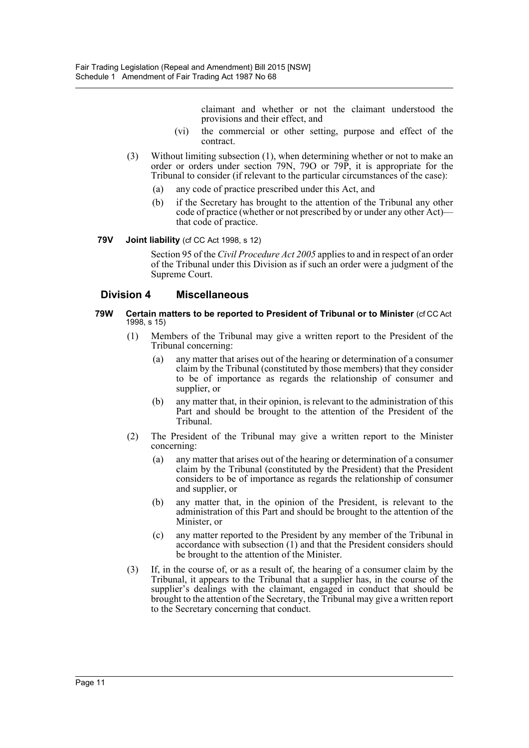claimant and whether or not the claimant understood the provisions and their effect, and

- (vi) the commercial or other setting, purpose and effect of the contract.
- (3) Without limiting subsection (1), when determining whether or not to make an order or orders under section 79N, 79O or 79P, it is appropriate for the Tribunal to consider (if relevant to the particular circumstances of the case):
	- (a) any code of practice prescribed under this Act, and
	- (b) if the Secretary has brought to the attention of the Tribunal any other code of practice (whether or not prescribed by or under any other Act) that code of practice.

#### **79V Joint liability** (cf CC Act 1998, s 12)

Section 95 of the *Civil Procedure Act 2005* applies to and in respect of an order of the Tribunal under this Division as if such an order were a judgment of the Supreme Court.

## **Division 4 Miscellaneous**

- **79W Certain matters to be reported to President of Tribunal or to Minister** (cf CC Act 1998, s 15)
	- (1) Members of the Tribunal may give a written report to the President of the Tribunal concerning:
		- (a) any matter that arises out of the hearing or determination of a consumer claim by the Tribunal (constituted by those members) that they consider to be of importance as regards the relationship of consumer and supplier, or
		- (b) any matter that, in their opinion, is relevant to the administration of this Part and should be brought to the attention of the President of the Tribunal.
	- (2) The President of the Tribunal may give a written report to the Minister concerning:
		- (a) any matter that arises out of the hearing or determination of a consumer claim by the Tribunal (constituted by the President) that the President considers to be of importance as regards the relationship of consumer and supplier, or
		- (b) any matter that, in the opinion of the President, is relevant to the administration of this Part and should be brought to the attention of the Minister, or
		- (c) any matter reported to the President by any member of the Tribunal in accordance with subsection (1) and that the President considers should be brought to the attention of the Minister.
	- (3) If, in the course of, or as a result of, the hearing of a consumer claim by the Tribunal, it appears to the Tribunal that a supplier has, in the course of the supplier's dealings with the claimant, engaged in conduct that should be brought to the attention of the Secretary, the Tribunal may give a written report to the Secretary concerning that conduct.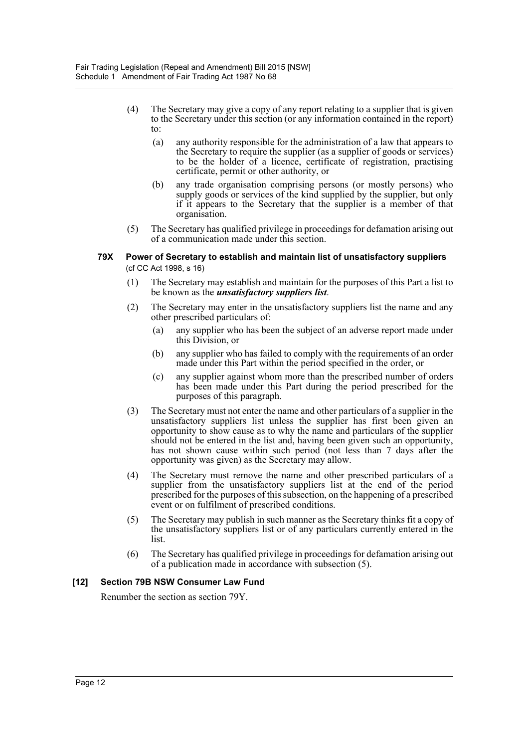- (4) The Secretary may give a copy of any report relating to a supplier that is given to the Secretary under this section (or any information contained in the report) to:
	- (a) any authority responsible for the administration of a law that appears to the Secretary to require the supplier (as a supplier of goods or services) to be the holder of a licence, certificate of registration, practising certificate, permit or other authority, or
	- (b) any trade organisation comprising persons (or mostly persons) who supply goods or services of the kind supplied by the supplier, but only if it appears to the Secretary that the supplier is a member of that organisation.
- (5) The Secretary has qualified privilege in proceedings for defamation arising out of a communication made under this section.

#### **79X Power of Secretary to establish and maintain list of unsatisfactory suppliers**  (cf CC Act 1998, s 16)

- (1) The Secretary may establish and maintain for the purposes of this Part a list to be known as the *unsatisfactory suppliers list*.
- (2) The Secretary may enter in the unsatisfactory suppliers list the name and any other prescribed particulars of:
	- (a) any supplier who has been the subject of an adverse report made under this Division, or
	- (b) any supplier who has failed to comply with the requirements of an order made under this Part within the period specified in the order, or
	- (c) any supplier against whom more than the prescribed number of orders has been made under this Part during the period prescribed for the purposes of this paragraph.
- (3) The Secretary must not enter the name and other particulars of a supplier in the unsatisfactory suppliers list unless the supplier has first been given an opportunity to show cause as to why the name and particulars of the supplier should not be entered in the list and, having been given such an opportunity, has not shown cause within such period (not less than 7 days after the opportunity was given) as the Secretary may allow.
- (4) The Secretary must remove the name and other prescribed particulars of a supplier from the unsatisfactory suppliers list at the end of the period prescribed for the purposes of this subsection, on the happening of a prescribed event or on fulfilment of prescribed conditions.
- (5) The Secretary may publish in such manner as the Secretary thinks fit a copy of the unsatisfactory suppliers list or of any particulars currently entered in the list.
- (6) The Secretary has qualified privilege in proceedings for defamation arising out of a publication made in accordance with subsection (5).

## **[12] Section 79B NSW Consumer Law Fund**

Renumber the section as section 79Y.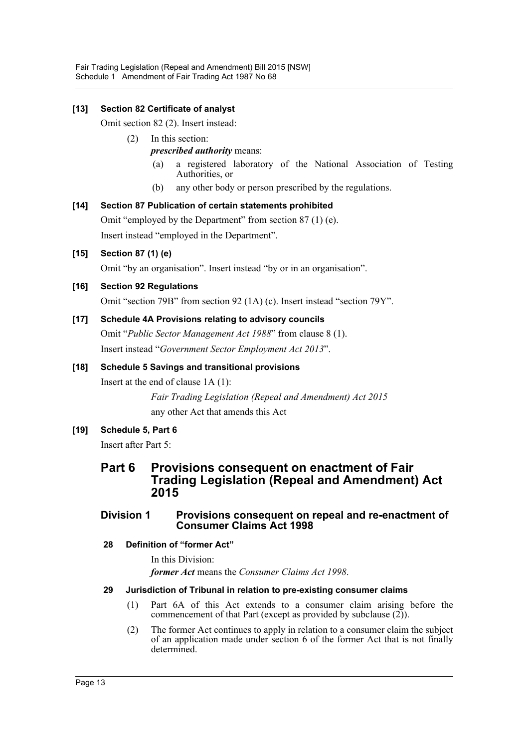# **[13] Section 82 Certificate of analyst**

Omit section 82 (2). Insert instead:

- (2) In this section: *prescribed authority* means:
	- (a) a registered laboratory of the National Association of Testing Authorities, or
	- (b) any other body or person prescribed by the regulations.

## **[14] Section 87 Publication of certain statements prohibited**

Omit "employed by the Department" from section 87 (1) (e). Insert instead "employed in the Department".

# **[15] Section 87 (1) (e)**

Omit "by an organisation". Insert instead "by or in an organisation".

# **[16] Section 92 Regulations**

Omit "section 79B" from section 92 (1A) (c). Insert instead "section 79Y".

## **[17] Schedule 4A Provisions relating to advisory councils**

Omit "*Public Sector Management Act 1988*" from clause 8 (1). Insert instead "*Government Sector Employment Act 2013*".

## **[18] Schedule 5 Savings and transitional provisions**

Insert at the end of clause 1A (1):

*Fair Trading Legislation (Repeal and Amendment) Act 2015* any other Act that amends this Act

## **[19] Schedule 5, Part 6**

Insert after Part 5:

# **Part 6 Provisions consequent on enactment of Fair Trading Legislation (Repeal and Amendment) Act 2015**

## **Division 1 Provisions consequent on repeal and re-enactment of Consumer Claims Act 1998**

## **28 Definition of "former Act"**

In this Division:

*former Act* means the *Consumer Claims Act 1998*.

## **29 Jurisdiction of Tribunal in relation to pre-existing consumer claims**

- (1) Part 6A of this Act extends to a consumer claim arising before the commencement of that Part (except as provided by subclause (2)).
- (2) The former Act continues to apply in relation to a consumer claim the subject of an application made under section 6 of the former Act that is not finally determined.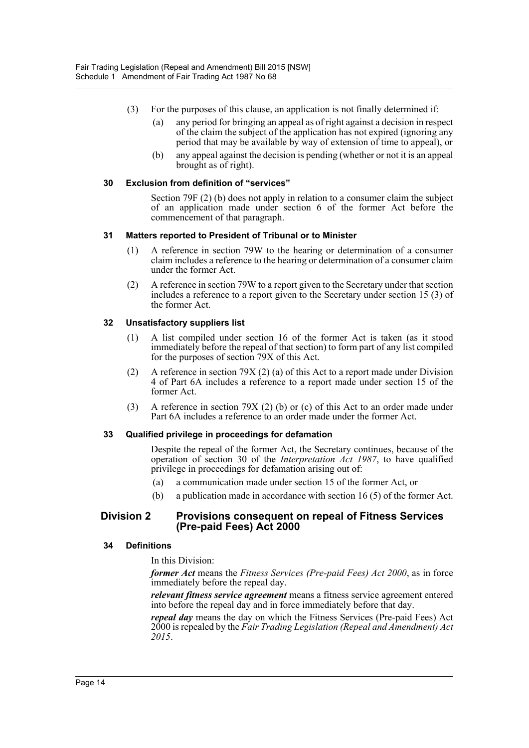- (3) For the purposes of this clause, an application is not finally determined if:
	- (a) any period for bringing an appeal as of right against a decision in respect of the claim the subject of the application has not expired (ignoring any period that may be available by way of extension of time to appeal), or
	- (b) any appeal against the decision is pending (whether or not it is an appeal brought as of right).

## **30 Exclusion from definition of "services"**

Section 79F (2) (b) does not apply in relation to a consumer claim the subject of an application made under section 6 of the former Act before the commencement of that paragraph.

#### **31 Matters reported to President of Tribunal or to Minister**

- (1) A reference in section 79W to the hearing or determination of a consumer claim includes a reference to the hearing or determination of a consumer claim under the former Act.
- (2) A reference in section 79W to a report given to the Secretary under that section includes a reference to a report given to the Secretary under section 15 (3) of the former Act.

## **32 Unsatisfactory suppliers list**

- (1) A list compiled under section 16 of the former Act is taken (as it stood immediately before the repeal of that section) to form part of any list compiled for the purposes of section 79X of this Act.
- (2) A reference in section 79X (2) (a) of this Act to a report made under Division 4 of Part 6A includes a reference to a report made under section 15 of the former Act.
- (3) A reference in section 79X (2) (b) or (c) of this Act to an order made under Part 6A includes a reference to an order made under the former Act.

## **33 Qualified privilege in proceedings for defamation**

Despite the repeal of the former Act, the Secretary continues, because of the operation of section 30 of the *Interpretation Act 1987*, to have qualified privilege in proceedings for defamation arising out of:

- (a) a communication made under section 15 of the former Act, or
- (b) a publication made in accordance with section 16 (5) of the former Act.

## **Division 2 Provisions consequent on repeal of Fitness Services (Pre-paid Fees) Act 2000**

## **34 Definitions**

In this Division:

*former Act* means the *Fitness Services (Pre-paid Fees) Act 2000*, as in force immediately before the repeal day.

*relevant fitness service agreement* means a fitness service agreement entered into before the repeal day and in force immediately before that day.

*repeal day* means the day on which the Fitness Services (Pre-paid Fees) Act 2000 is repealed by the *Fair Trading Legislation (Repeal and Amendment) Act 2015*.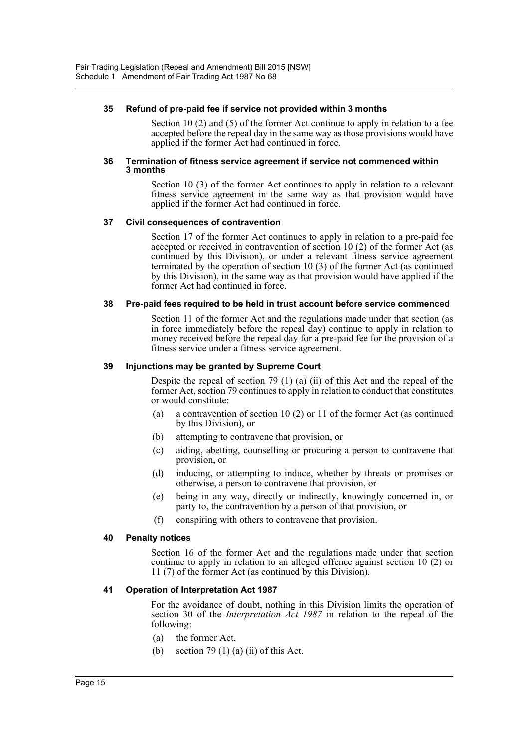#### **35 Refund of pre-paid fee if service not provided within 3 months**

Section 10 (2) and (5) of the former Act continue to apply in relation to a fee accepted before the repeal day in the same way as those provisions would have applied if the former Act had continued in force.

#### **36 Termination of fitness service agreement if service not commenced within 3 months**

Section 10 (3) of the former Act continues to apply in relation to a relevant fitness service agreement in the same way as that provision would have applied if the former Act had continued in force.

#### **37 Civil consequences of contravention**

Section 17 of the former Act continues to apply in relation to a pre-paid fee accepted or received in contravention of section 10 (2) of the former Act (as continued by this Division), or under a relevant fitness service agreement terminated by the operation of section 10 (3) of the former Act (as continued by this Division), in the same way as that provision would have applied if the former Act had continued in force.

#### **38 Pre-paid fees required to be held in trust account before service commenced**

Section 11 of the former Act and the regulations made under that section (as in force immediately before the repeal day) continue to apply in relation to money received before the repeal day for a pre-paid fee for the provision of a fitness service under a fitness service agreement.

#### **39 Injunctions may be granted by Supreme Court**

Despite the repeal of section 79 (1) (a) (ii) of this Act and the repeal of the former Act, section 79 continues to apply in relation to conduct that constitutes or would constitute:

- (a) a contravention of section 10 (2) or 11 of the former Act (as continued by this Division), or
- (b) attempting to contravene that provision, or
- (c) aiding, abetting, counselling or procuring a person to contravene that provision, or
- (d) inducing, or attempting to induce, whether by threats or promises or otherwise, a person to contravene that provision, or
- (e) being in any way, directly or indirectly, knowingly concerned in, or party to, the contravention by a person of that provision, or
- (f) conspiring with others to contravene that provision.

#### **40 Penalty notices**

Section 16 of the former Act and the regulations made under that section continue to apply in relation to an alleged offence against section 10 (2) or 11 (7) of the former Act (as continued by this Division).

#### **41 Operation of Interpretation Act 1987**

For the avoidance of doubt, nothing in this Division limits the operation of section 30 of the *Interpretation Act 1987* in relation to the repeal of the following:

- (a) the former Act,
- (b) section 79 (1) (a) (ii) of this Act.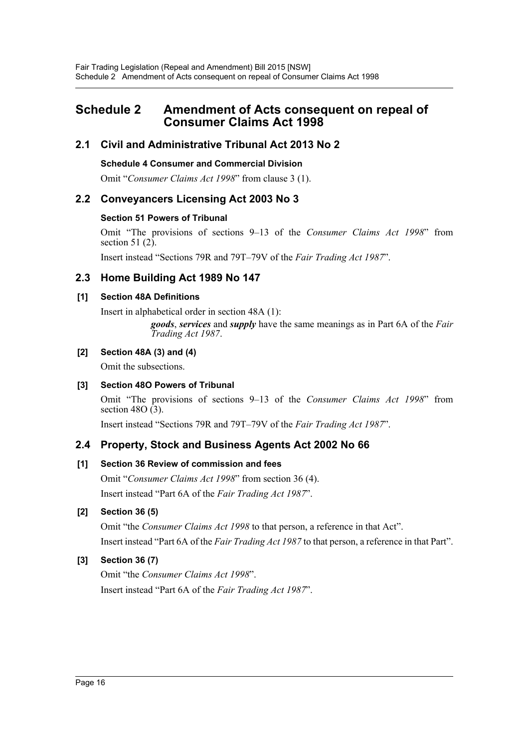# <span id="page-16-0"></span>**Schedule 2 Amendment of Acts consequent on repeal of Consumer Claims Act 1998**

# **2.1 Civil and Administrative Tribunal Act 2013 No 2**

## **Schedule 4 Consumer and Commercial Division**

Omit "*Consumer Claims Act 1998*" from clause 3 (1).

# **2.2 Conveyancers Licensing Act 2003 No 3**

# **Section 51 Powers of Tribunal**

Omit "The provisions of sections 9–13 of the *Consumer Claims Act 1998*" from section 51 $(2)$ .

Insert instead "Sections 79R and 79T–79V of the *Fair Trading Act 1987*".

# **2.3 Home Building Act 1989 No 147**

# **[1] Section 48A Definitions**

Insert in alphabetical order in section 48A (1):

*goods*, *services* and *supply* have the same meanings as in Part 6A of the *Fair Trading Act 1987*.

# **[2] Section 48A (3) and (4)**

Omit the subsections.

# **[3] Section 48O Powers of Tribunal**

Omit "The provisions of sections 9–13 of the *Consumer Claims Act 1998*" from section 48O $(3)$ .

Insert instead "Sections 79R and 79T–79V of the *Fair Trading Act 1987*".

# **2.4 Property, Stock and Business Agents Act 2002 No 66**

# **[1] Section 36 Review of commission and fees**

Omit "*Consumer Claims Act 1998*" from section 36 (4). Insert instead "Part 6A of the *Fair Trading Act 1987*".

# **[2] Section 36 (5)**

Omit "the *Consumer Claims Act 1998* to that person, a reference in that Act". Insert instead "Part 6A of the *Fair Trading Act 1987* to that person, a reference in that Part".

# **[3] Section 36 (7)**

Omit "the *Consumer Claims Act 1998*". Insert instead "Part 6A of the *Fair Trading Act 1987*".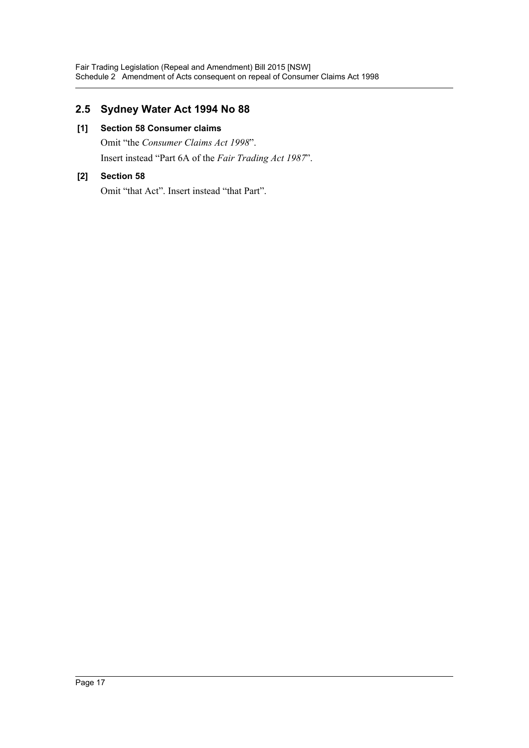# **2.5 Sydney Water Act 1994 No 88**

# **[1] Section 58 Consumer claims**

Omit "the *Consumer Claims Act 1998*". Insert instead "Part 6A of the *Fair Trading Act 1987*".

# **[2] Section 58**

Omit "that Act". Insert instead "that Part".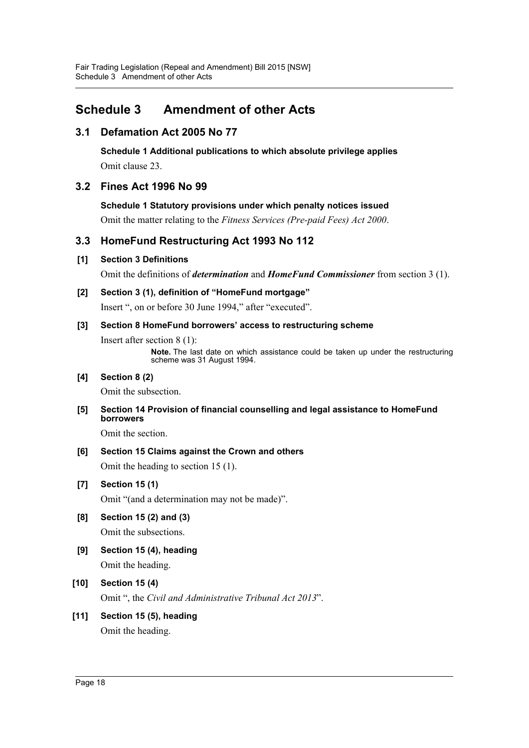# <span id="page-18-0"></span>**Schedule 3 Amendment of other Acts**

# **3.1 Defamation Act 2005 No 77**

**Schedule 1 Additional publications to which absolute privilege applies** Omit clause 23.

# **3.2 Fines Act 1996 No 99**

**Schedule 1 Statutory provisions under which penalty notices issued**

Omit the matter relating to the *Fitness Services (Pre-paid Fees) Act 2000*.

# **3.3 HomeFund Restructuring Act 1993 No 112**

# **[1] Section 3 Definitions**

Omit the definitions of *determination* and *HomeFund Commissioner* from section 3 (1).

**[2] Section 3 (1), definition of "HomeFund mortgage"**

Insert ", on or before 30 June 1994," after "executed".

# **[3] Section 8 HomeFund borrowers' access to restructuring scheme**

Insert after section 8 (1):

**Note.** The last date on which assistance could be taken up under the restructuring scheme was 31 August 1994.

# **[4] Section 8 (2)**

Omit the subsection.

**[5] Section 14 Provision of financial counselling and legal assistance to HomeFund borrowers**

Omit the section.

**[6] Section 15 Claims against the Crown and others** Omit the heading to section 15 (1).

**[7] Section 15 (1)**

Omit "(and a determination may not be made)".

- **[8] Section 15 (2) and (3)** Omit the subsections.
- **[9] Section 15 (4), heading** Omit the heading.
- **[10] Section 15 (4)** Omit ", the *Civil and Administrative Tribunal Act 2013*".
- **[11] Section 15 (5), heading** Omit the heading.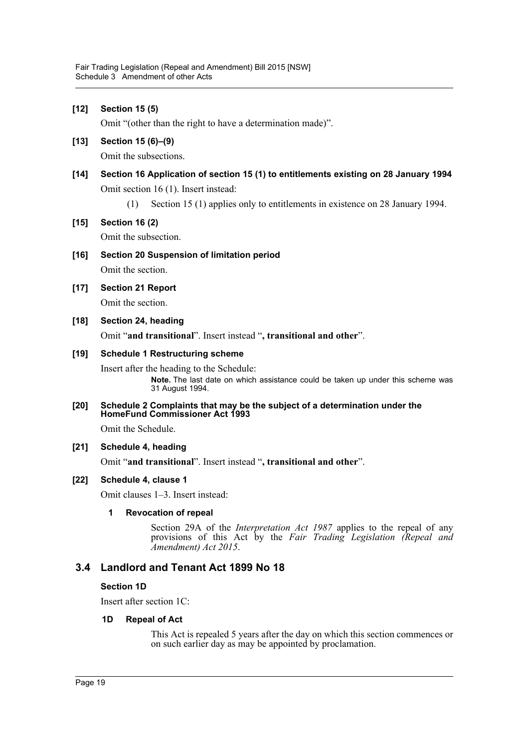## **[12] Section 15 (5)**

Omit "(other than the right to have a determination made)".

**[13] Section 15 (6)–(9)**

Omit the subsections.

# **[14] Section 16 Application of section 15 (1) to entitlements existing on 28 January 1994** Omit section 16 (1). Insert instead:

(1) Section 15 (1) applies only to entitlements in existence on 28 January 1994.

## **[15] Section 16 (2)**

Omit the subsection.

**[16] Section 20 Suspension of limitation period**

Omit the section.

## **[17] Section 21 Report**

Omit the section.

**[18] Section 24, heading**

Omit "**and transitional**". Insert instead "**, transitional and other**".

#### **[19] Schedule 1 Restructuring scheme**

Insert after the heading to the Schedule:

**Note.** The last date on which assistance could be taken up under this scheme was 31 August 1994.

**[20] Schedule 2 Complaints that may be the subject of a determination under the HomeFund Commissioner Act 1993**

Omit the Schedule.

#### **[21] Schedule 4, heading**

Omit "**and transitional**". Insert instead "**, transitional and other**".

#### **[22] Schedule 4, clause 1**

Omit clauses 1–3. Insert instead:

#### **1 Revocation of repeal**

Section 29A of the *Interpretation Act 1987* applies to the repeal of any provisions of this Act by the *Fair Trading Legislation (Repeal and Amendment) Act 2015*.

## **3.4 Landlord and Tenant Act 1899 No 18**

#### **Section 1D**

Insert after section 1C:

#### **1D Repeal of Act**

This Act is repealed 5 years after the day on which this section commences or on such earlier day as may be appointed by proclamation.